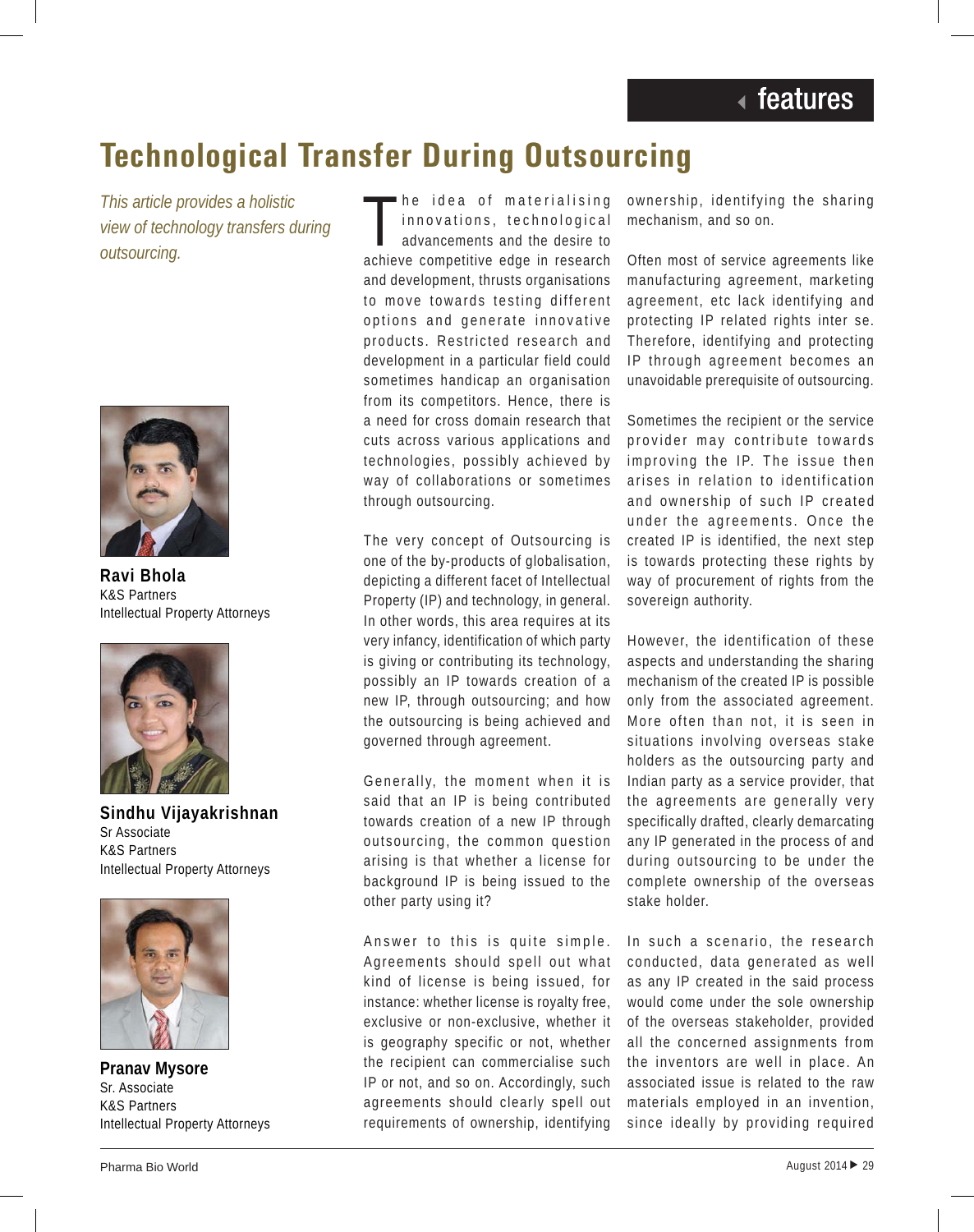## **Technological Transfer During Outsourcing**

*This article provides a holistic view of technology transfers during outsourcing.*



**Ravi Bhola** K&S Partners Intellectual Property Attorneys



**Sindhu Vijayakrishnan** Sr Associate K&S Partners Intellectual Property Attorneys



**Pranav Mysore** Sr. Associate K&S Partners Intellectual Property Attorneys

The idea of materialising<br>innovations, technological<br>advancements and the desire to<br>achieve competitive edge in research he idea of materialising innovations, technological advancements and the desire to and development, thrusts organisations to move towards testing different options and generate innovative products. Restricted research and development in a particular field could sometimes handicap an organisation from its competitors. Hence, there is a need for cross domain research that cuts across various applications and technologies, possibly achieved by way of collaborations or sometimes through outsourcing.

The very concept of Outsourcing is one of the by-products of globalisation, depicting a different facet of Intellectual Property (IP) and technology, in general. In other words, this area requires at its very infancy, identification of which party is giving or contributing its technology, possibly an IP towards creation of a new IP, through outsourcing; and how the outsourcing is being achieved and governed through agreement.

Generally, the moment when it is said that an IP is being contributed towards creation of a new IP through outsourcing, the common question arising is that whether a license for background IP is being issued to the other party using it?

Answer to this is quite simple. Agreements should spell out what kind of license is being issued, for instance: whether license is royalty free, exclusive or non-exclusive, whether it is geography specific or not, whether the recipient can commercialise such IP or not, and so on. Accordingly, such agreements should clearly spell out requirements of ownership, identifying ownership, identifying the sharing mechanism, and so on.

Often most of service agreements like manufacturing agreement, marketing agreement, etc lack identifying and protecting IP related rights inter se. Therefore, identifying and protecting IP through agreement becomes an unavoidable prerequisite of outsourcing.

Sometimes the recipient or the service provider may contribute towards improving the IP. The issue then arises in relation to identification and ownership of such IP created under the agreements. Once the created IP is identified, the next step is towards protecting these rights by way of procurement of rights from the sovereign authority.

However, the identification of these aspects and understanding the sharing mechanism of the created IP is possible only from the associated agreement. More often than not, it is seen in situations involving overseas stake holders as the outsourcing party and Indian party as a service provider, that the agreements are generally very specifically drafted, clearly demarcating any IP generated in the process of and during outsourcing to be under the complete ownership of the overseas stake holder.

In such a scenario, the research conducted, data generated as well as any IP created in the said process would come under the sole ownership of the overseas stakeholder, provided all the concerned assignments from the inventors are well in place. An associated issue is related to the raw materials employed in an invention, since ideally by providing required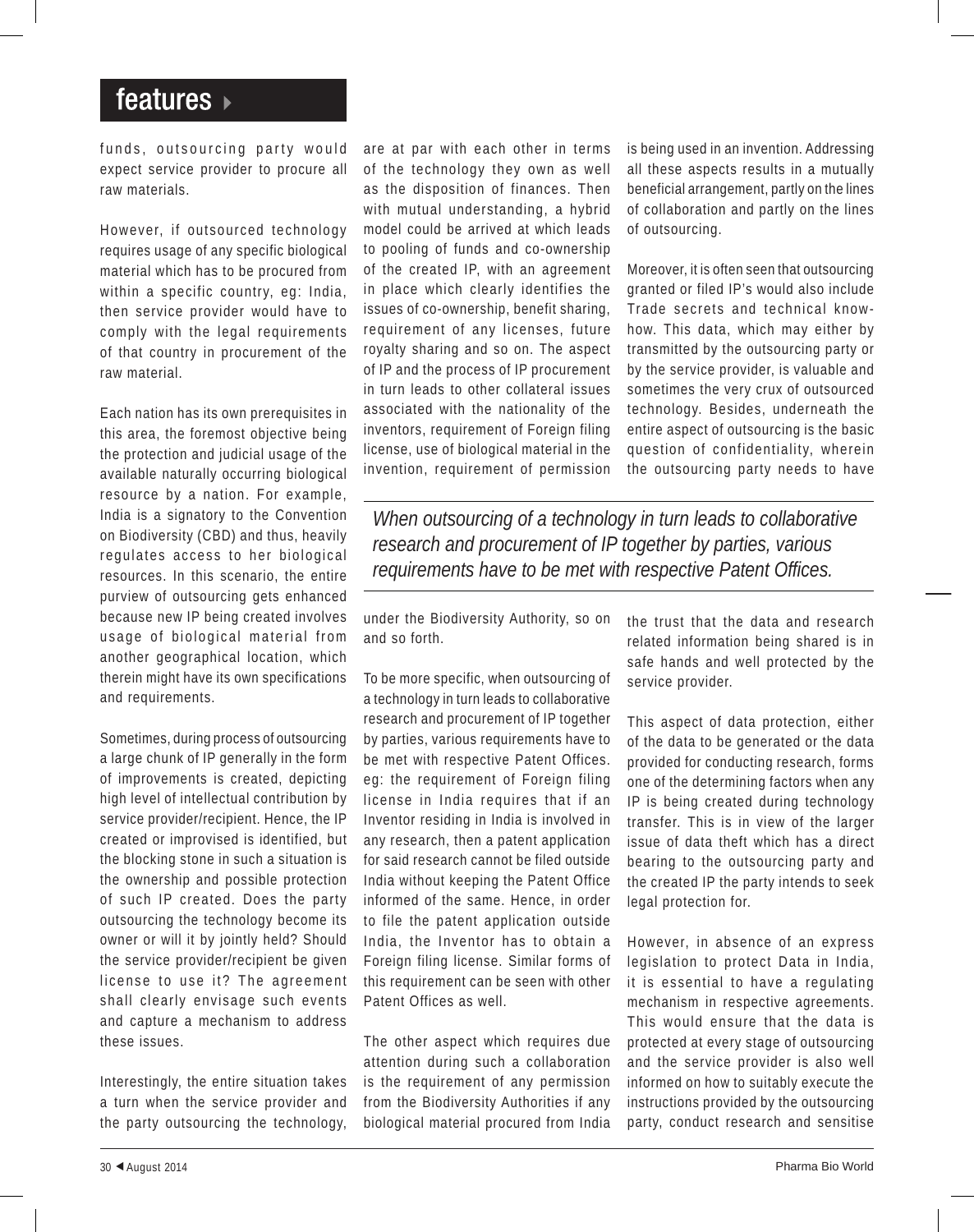## features »

funds, outsourcing party would expect service provider to procure all raw materials.

However, if outsourced technology requires usage of any specific biological material which has to be procured from within a specific country, eq: India, then service provider would have to comply with the legal requirements of that country in procurement of the raw material.

Each nation has its own prerequisites in this area, the foremost objective being the protection and judicial usage of the available naturally occurring biological resource by a nation. For example, India is a signatory to the Convention on Biodiversity (CBD) and thus, heavily regulates access to her biological resources. In this scenario, the entire purview of outsourcing gets enhanced because new IP being created involves usage of biological material from another geographical location, which therein might have its own specifications and requirements.

Sometimes, during process of outsourcing a large chunk of IP generally in the form of improvements is created, depicting high level of intellectual contribution by service provider/recipient. Hence, the IP created or improvised is identified, but the blocking stone in such a situation is the ownership and possible protection of such IP created. Does the party outsourcing the technology become its owner or will it by jointly held? Should the service provider/recipient be given license to use it? The agreement shall clearly envisage such events and capture a mechanism to address these issues.

Interestingly, the entire situation takes a turn when the service provider and the party outsourcing the technology, are at par with each other in terms of the technology they own as well as the disposition of finances. Then with mutual understanding, a hybrid model could be arrived at which leads to pooling of funds and co-ownership of the created IP, with an agreement in place which clearly identifies the issues of co-ownership, benefit sharing, requirement of any licenses, future royalty sharing and so on. The aspect of IP and the process of IP procurement in turn leads to other collateral issues associated with the nationality of the inventors, requirement of Foreign filing license, use of biological material in the invention, requirement of permission

is being used in an invention. Addressing all these aspects results in a mutually beneficial arrangement, partly on the lines of collaboration and partly on the lines of outsourcing.

Moreover, it is often seen that outsourcing granted or filed IP's would also include Trade secrets and technical knowhow. This data, which may either by transmitted by the outsourcing party or by the service provider, is valuable and sometimes the very crux of outsourced technology. Besides, underneath the entire aspect of outsourcing is the basic question of confidentiality, wherein the outsourcing party needs to have

*When outsourcing of a technology in turn leads to collaborative research and procurement of IP together by parties, various requirements have to be met with respective Patent Offices.*

under the Biodiversity Authority, so on and so forth.

To be more specific, when outsourcing of a technology in turn leads to collaborative research and procurement of IP together by parties, various requirements have to be met with respective Patent Offices. eg: the requirement of Foreign filing license in India requires that if an Inventor residing in India is involved in any research, then a patent application for said research cannot be filed outside India without keeping the Patent Office informed of the same. Hence, in order to file the patent application outside India, the Inventor has to obtain a Foreign filing license. Similar forms of this requirement can be seen with other Patent Offices as well.

The other aspect which requires due attention during such a collaboration is the requirement of any permission from the Biodiversity Authorities if any biological material procured from India the trust that the data and research related information being shared is in safe hands and well protected by the service provider.

This aspect of data protection, either of the data to be generated or the data provided for conducting research, forms one of the determining factors when any IP is being created during technology transfer. This is in view of the larger issue of data theft which has a direct bearing to the outsourcing party and the created IP the party intends to seek legal protection for.

However, in absence of an express legislation to protect Data in India, it is essential to have a regulating mechanism in respective agreements. This would ensure that the data is protected at every stage of outsourcing and the service provider is also well informed on how to suitably execute the instructions provided by the outsourcing party, conduct research and sensitise